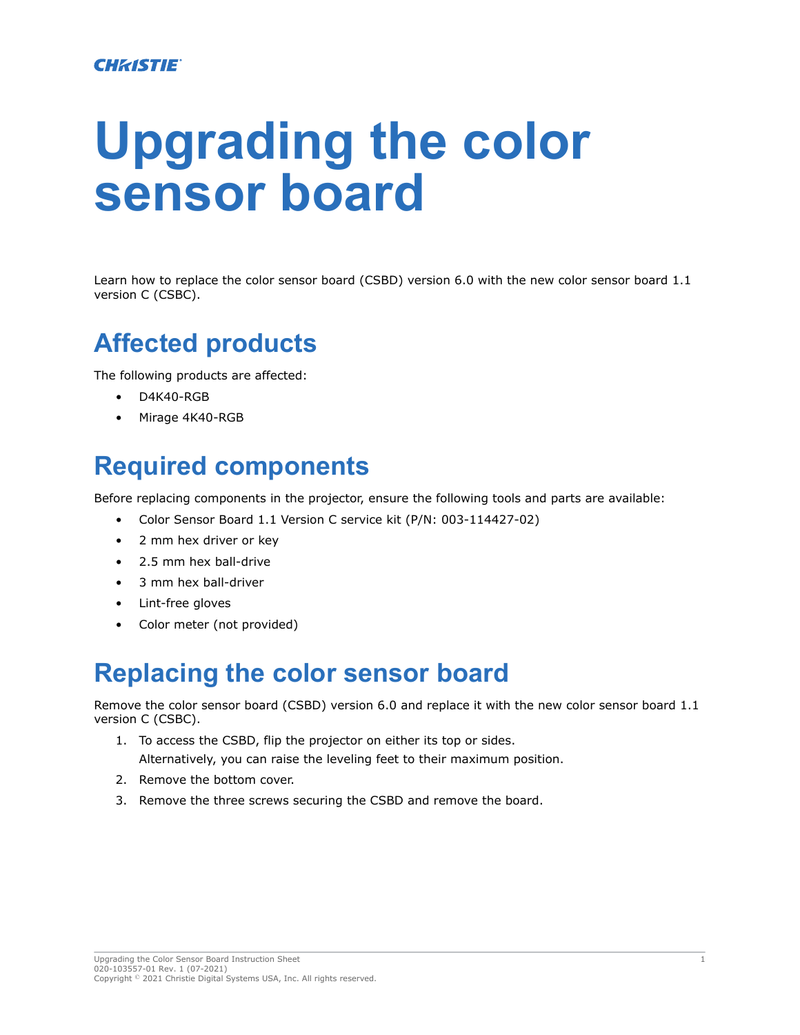# **Upgrading the color sensor board**

Learn how to replace the color sensor board (CSBD) version 6.0 with the new color sensor board 1.1 version C (CSBC).

### **Affected products**

The following products are affected:

- D4K40-RGB
- Mirage 4K40-RGB

#### **Required components**

Before replacing components in the projector, ensure the following tools and parts are available:

- Color Sensor Board 1.1 Version C service kit (P/N: 003-114427-02)
- 2 mm hex driver or key
- 2.5 mm hex ball-drive
- 3 mm hex ball-driver
- Lint-free gloves
- Color meter (not provided)

#### **Replacing the color sensor board**

Remove the color sensor board (CSBD) version 6.0 and replace it with the new color sensor board 1.1 version C (CSBC).

- 1. To access the CSBD, flip the projector on either its top or sides. Alternatively, you can raise the leveling feet to their maximum position.
- 2. Remove the bottom cover.
- 3. Remove the three screws securing the CSBD and remove the board.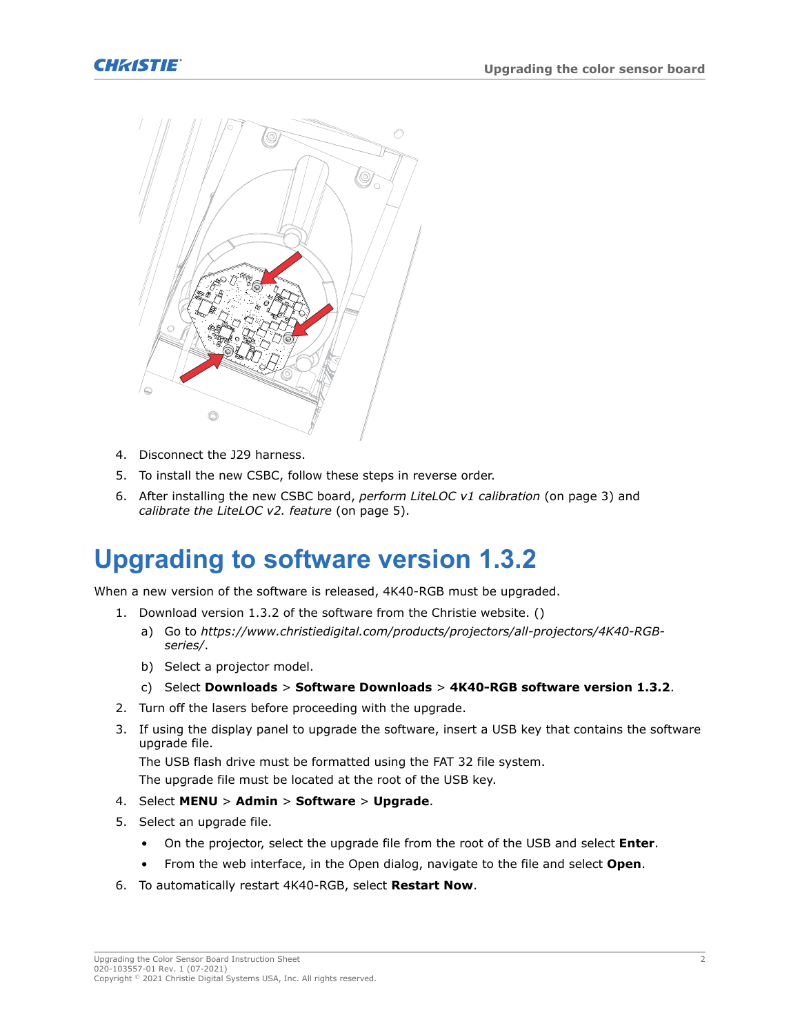



- 4. Disconnect the J29 harness.
- 5. To install the new CSBC, follow these steps in reverse order.
- 6. After installing the new CSBC board, *[perform LiteLOC v1 calibration](#page-2-0)* (on page 3) and *[calibrate the LiteLOC v2. feature](#page-4-0)* (on page 5).

#### **Upgrading to software version 1.3.2**

When a new version of the software is released, 4K40-RGB must be upgraded.

- 1. Download version 1.3.2 of the software from the Christie website. ()
	- a) Go to *[https://www.christiedigital.com/products/projectors/all-projectors/4K40-RGB](https://www.christiedigital.com/products/projectors/all-projectors/4K40-RGB-series/)[series/](https://www.christiedigital.com/products/projectors/all-projectors/4K40-RGB-series/)*.
	- b) Select a projector model.
	- c) Select **Downloads** > **Software Downloads** > **4K40-RGB software version 1.3.2**.
- 2. Turn off the lasers before proceeding with the upgrade.
- 3. If using the display panel to upgrade the software, insert a USB key that contains the software upgrade file.

The USB flash drive must be formatted using the FAT 32 file system.

The upgrade file must be located at the root of the USB key.

- 4. Select **MENU** > **Admin** > **Software** > **Upgrade**.
- 5. Select an upgrade file.
	- On the projector, select the upgrade file from the root of the USB and select **Enter**.
	- From the web interface, in the Open dialog, navigate to the file and select **Open**.
- 6. To automatically restart 4K40-RGB, select **Restart Now**.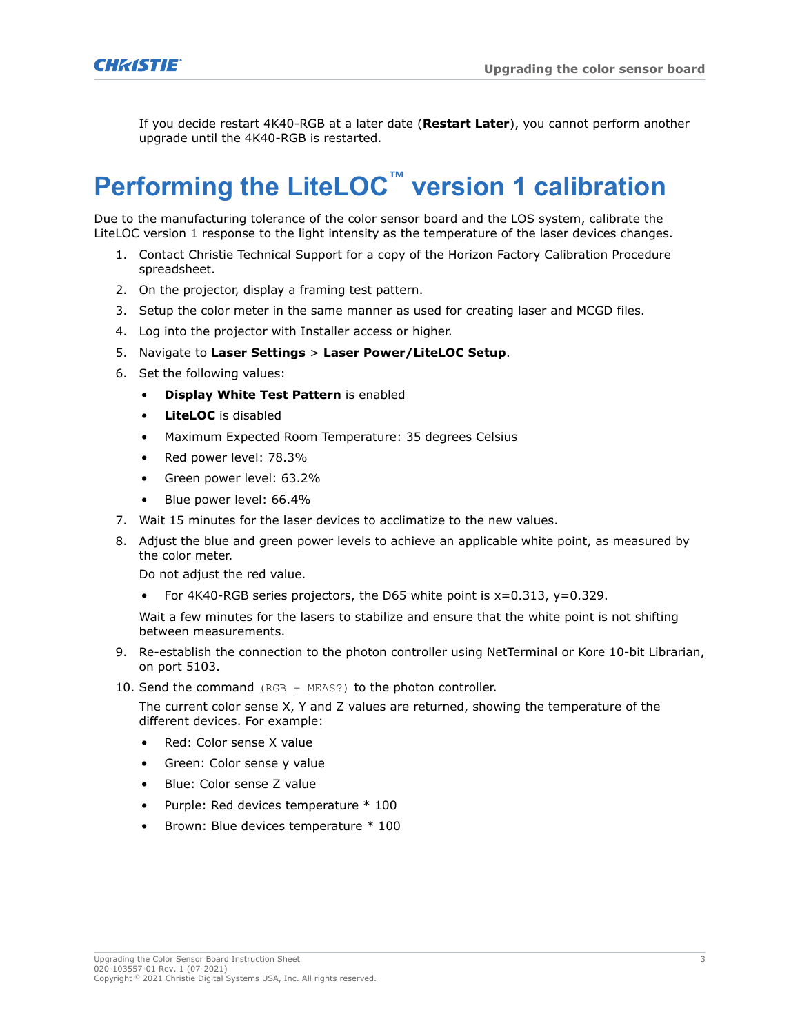<span id="page-2-0"></span>

If you decide restart 4K40-RGB at a later date (**Restart Later**), you cannot perform another upgrade until the 4K40-RGB is restarted.

# **Performing the LiteLOC™ version 1 calibration**

Due to the manufacturing tolerance of the color sensor board and the LOS system, calibrate the LiteLOC version 1 response to the light intensity as the temperature of the laser devices changes.

- 1. Contact Christie Technical Support for a copy of the Horizon Factory Calibration Procedure spreadsheet.
- 2. On the projector, display a framing test pattern.
- 3. Setup the color meter in the same manner as used for creating laser and MCGD files.
- 4. Log into the projector with Installer access or higher.
- 5. Navigate to **Laser Settings** > **Laser Power/LiteLOC Setup**.
- 6. Set the following values:
	- **Display White Test Pattern** is enabled
	- **LiteLOC** is disabled
	- Maximum Expected Room Temperature: 35 degrees Celsius
	- Red power level: 78.3%
	- Green power level: 63.2%
	- Blue power level: 66.4%
- 7. Wait 15 minutes for the laser devices to acclimatize to the new values.
- 8. Adjust the blue and green power levels to achieve an applicable white point, as measured by the color meter.

Do not adjust the red value.

• For 4K40-RGB series projectors, the D65 white point is x=0.313, y=0.329.

Wait a few minutes for the lasers to stabilize and ensure that the white point is not shifting between measurements.

- 9. Re-establish the connection to the photon controller using NetTerminal or Kore 10-bit Librarian, on port 5103.
- 10. Send the command (RGB + MEAS?) to the photon controller.

The current color sense X, Y and Z values are returned, showing the temperature of the different devices. For example:

- Red: Color sense X value
- Green: Color sense y value
- Blue: Color sense Z value
- Purple: Red devices temperature \* 100
- Brown: Blue devices temperature \* 100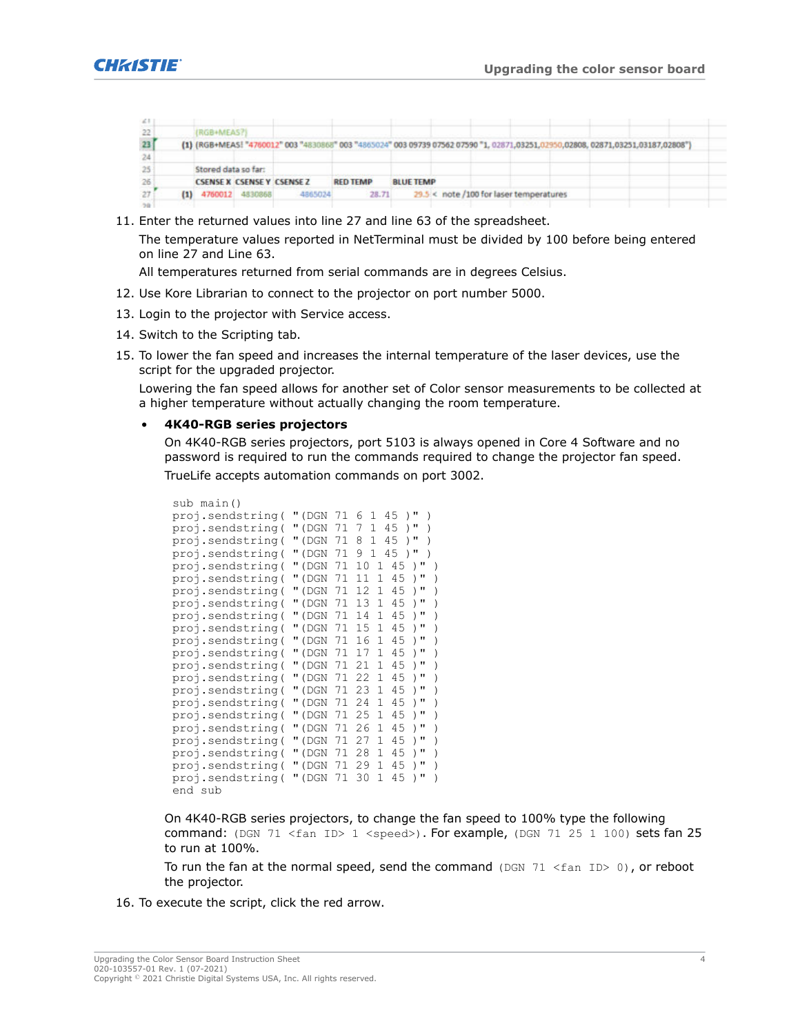

| $-21$           |                     |                                   |         |                                                                                                                                   |                  |                                         |  |  |  |
|-----------------|---------------------|-----------------------------------|---------|-----------------------------------------------------------------------------------------------------------------------------------|------------------|-----------------------------------------|--|--|--|
| 22              | (RGB+MEAS?)         |                                   |         |                                                                                                                                   |                  |                                         |  |  |  |
| 23              |                     |                                   |         | (1) (RGB+MEAS! "4760012" 003 "4830868" 003 "4865024" 003 09739 07562 07590 "1, 02871,03251,02950,02808, 02871,03251,03187,02808") |                  |                                         |  |  |  |
| 24              |                     |                                   |         |                                                                                                                                   |                  |                                         |  |  |  |
| 25 <sup>1</sup> | Stored data so far: |                                   |         |                                                                                                                                   |                  |                                         |  |  |  |
| 26              |                     | <b>CSENSE X CSENSE Y CSENSE Z</b> |         | <b>RED TEMP</b>                                                                                                                   | <b>BLUE TEMP</b> |                                         |  |  |  |
| 27.             |                     | $(1)$ 4760012 4830868             | 4865024 | 28.71                                                                                                                             |                  | 29.5 < note /100 for laser temperatures |  |  |  |
| . 1             |                     |                                   |         |                                                                                                                                   |                  |                                         |  |  |  |

11. Enter the returned values into line 27 and line 63 of the spreadsheet.

The temperature values reported in NetTerminal must be divided by 100 before being entered on line 27 and Line 63.

All temperatures returned from serial commands are in degrees Celsius.

- 12. Use Kore Librarian to connect to the projector on port number 5000.
- 13. Login to the projector with Service access.
- 14. Switch to the Scripting tab.
- 15. To lower the fan speed and increases the internal temperature of the laser devices, use the script for the upgraded projector.

Lowering the fan speed allows for another set of Color sensor measurements to be collected at a higher temperature without actually changing the room temperature.

#### • **4K40-RGB series projectors**

On 4K40-RGB series projectors, port 5103 is always opened in Core 4 Software and no password is required to run the commands required to change the projector fan speed. TrueLife accepts automation commands on port 3002.

```
sub main()
proj.sendstring( "(DGN 71 6 1 45 )" )
proj.sendstring( "(DGN 71 7 1 45 )" )
proj.sendstring( "(DGN 71 8 1 45 )" )
proj.sendstring( "(DGN 71 9 1 45 )" )
proj.sendstring( "(DGN 71 10 1 45 )" )
proj.sendstring( "(DGN 71 11 1 45 )" )
proj.sendstring( "(DGN 71 12 1 45 )")
proj.sendstring( "(DGN 71 13 1 45 )" )
proj.sendstring( "(DGN 71 14 1 45 )" )
proj.sendstring( "(DGN 71 15 1 45 )" )
proj.sendstring( "(DGN 71 16 1 45 )" )
proj.sendstring( "(DGN 71 17 1 45 )" )
proj.sendstring( "(DGN 71 21 1 45 )" )
proj.sendstring( "(DGN 71 22 1 45 )" )
proj.sendstring( "(DGN 71 23 1 45 )" )
proj.sendstring( "(DGN 71 24 1 45 )" )
proj.sendstring( "(DGN 71 25 1 45 )" )
proj.sendstring( "(DGN 71 26 1 45 )" )
proj.sendstring( "(DGN 71 27 1 45 )" )
proj.sendstring( "(DGN 71 28 1 45 )" )
proj.sendstring( "(DGN 71 29 1 45 )" )
proj.sendstring( "(DGN 71 30 1 45 )" )
end sub
```
On 4K40-RGB series projectors, to change the fan speed to 100% type the following command: (DGN 71 <fan ID> 1 <speed>). For example, (DGN 71 25 1 100) sets fan 25 to run at 100%.

To run the fan at the normal speed, send the command (DGN  $71 \leq fan ID > 0$ ), or reboot the projector.

16. To execute the script, click the red arrow.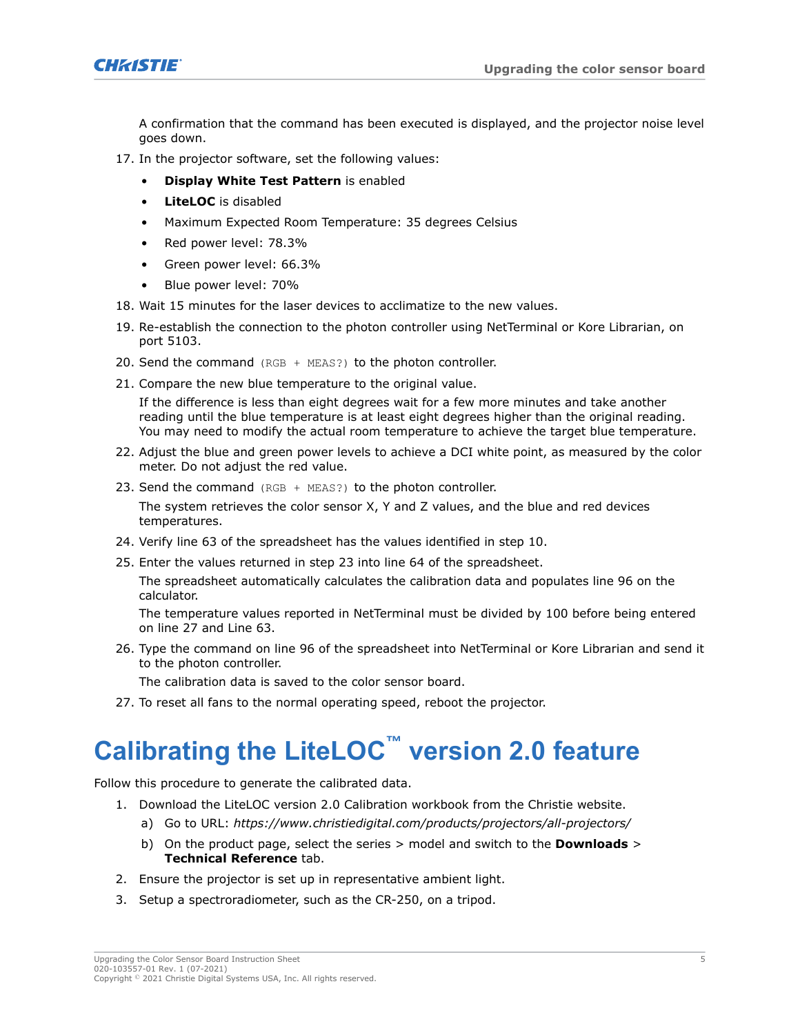<span id="page-4-0"></span>

A confirmation that the command has been executed is displayed, and the projector noise level goes down.

- 17. In the projector software, set the following values:
	- **Display White Test Pattern** is enabled
	- **LiteLOC** is disabled
	- Maximum Expected Room Temperature: 35 degrees Celsius
	- Red power level: 78.3%
	- Green power level: 66.3%
	- Blue power level: 70%
- 18. Wait 15 minutes for the laser devices to acclimatize to the new values.
- 19. Re-establish the connection to the photon controller using NetTerminal or Kore Librarian, on port 5103.
- 20. Send the command (RGB + MEAS?) to the photon controller.
- 21. Compare the new blue temperature to the original value.

If the difference is less than eight degrees wait for a few more minutes and take another reading until the blue temperature is at least eight degrees higher than the original reading. You may need to modify the actual room temperature to achieve the target blue temperature.

- 22. Adjust the blue and green power levels to achieve a DCI white point, as measured by the color meter. Do not adjust the red value.
- 23. Send the command (RGB + MEAS?) to the photon controller.

The system retrieves the color sensor X, Y and Z values, and the blue and red devices temperatures.

- 24. Verify line 63 of the spreadsheet has the values identified in step 10.
- 25. Enter the values returned in step 23 into line 64 of the spreadsheet.

The spreadsheet automatically calculates the calibration data and populates line 96 on the calculator.

The temperature values reported in NetTerminal must be divided by 100 before being entered on line 27 and Line 63.

26. Type the command on line 96 of the spreadsheet into NetTerminal or Kore Librarian and send it to the photon controller.

The calibration data is saved to the color sensor board.

27. To reset all fans to the normal operating speed, reboot the projector.

## **Calibrating the LiteLOC™ version 2.0 feature**

Follow this procedure to generate the calibrated data.

- 1. Download the LiteLOC version 2.0 Calibration workbook from the Christie website.
	- a) Go to URL: *<https://www.christiedigital.com/products/projectors/all-projectors/>*
	- b) On the product page, select the series > model and switch to the **Downloads** > **Technical Reference** tab.
- 2. Ensure the projector is set up in representative ambient light.
- 3. Setup a spectroradiometer, such as the CR-250, on a tripod.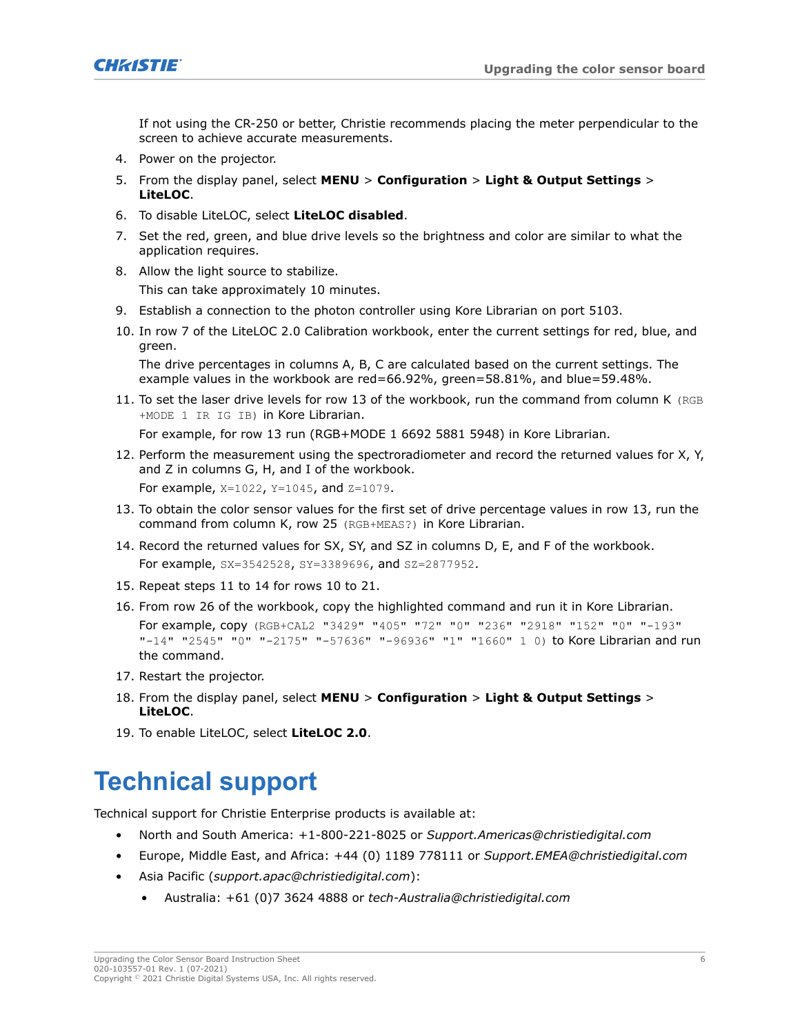

If not using the CR-250 or better, Christie recommends placing the meter perpendicular to the screen to achieve accurate measurements.

- 4. Power on the projector.
- 5. From the display panel, select **MENU** > **Configuration** > **Light & Output Settings** > **LiteLOC**.
- 6. To disable LiteLOC, select **LiteLOC disabled**.
- 7. Set the red, green, and blue drive levels so the brightness and color are similar to what the application requires.
- 8. Allow the light source to stabilize. This can take approximately 10 minutes.
- 9. Establish a connection to the photon controller using Kore Librarian on port 5103.
- 10. In row 7 of the LiteLOC 2.0 Calibration workbook, enter the current settings for red, blue, and green. The drive percentages in columns A, B, C are calculated based on the current settings. The

example values in the workbook are red=66.92%, green=58.81%, and blue=59.48%.

11. To set the laser drive levels for row 13 of the workbook, run the command from column K (RGB +MODE 1 IR IG IB) in Kore Librarian.

For example, for row 13 run (RGB+MODE 1 6692 5881 5948) in Kore Librarian.

12. Perform the measurement using the spectroradiometer and record the returned values for X, Y, and Z in columns G, H, and I of the workbook. For example,  $X=1022$ ,  $Y=1045$ , and  $Z=1079$ .

13. To obtain the color sensor values for the first set of drive percentage values in row 13, run the command from column K, row 25 (RGB+MEAS?) in Kore Librarian.

- 14. Record the returned values for SX, SY, and SZ in columns D, E, and F of the workbook. For example, SX=3542528, SY=3389696, and SZ=2877952.
- 15. Repeat steps 11 to 14 for rows 10 to 21.
- 16. From row 26 of the workbook, copy the highlighted command and run it in Kore Librarian. For example, copy (RGB+CAL2 "3429" "405" "72" "0" "236" "2918" "152" "0" "-193" "-14" "2545" "0" "-2175" "-57636" "-96936" "1" "1660" 1 0) to Kore Librarian and run the command.
- 17. Restart the projector.
- 18. From the display panel, select **MENU** > **Configuration** > **Light & Output Settings** > **LiteLOC**.
- 19. To enable LiteLOC, select **LiteLOC 2.0**.

#### **Technical support**

Technical support for Christie Enterprise products is available at:

- North and South America: +1-800-221-8025 or *[Support.Americas@christiedigital.com](mailto:Support.Americas@christiedigital.com)*
- Europe, Middle East, and Africa: +44 (0) 1189 778111 or *[Support.EMEA@christiedigital.com](mailto:Support.EMEA@christiedigital.com)*
- Asia Pacific (*[support.apac@christiedigital.com](mailto:support.apac@christiedigital.com)*):
	- Australia: +61 (0)7 3624 4888 or *[tech-Australia@christiedigital.com](mailto:tech-Australia@christiedigital.com)*